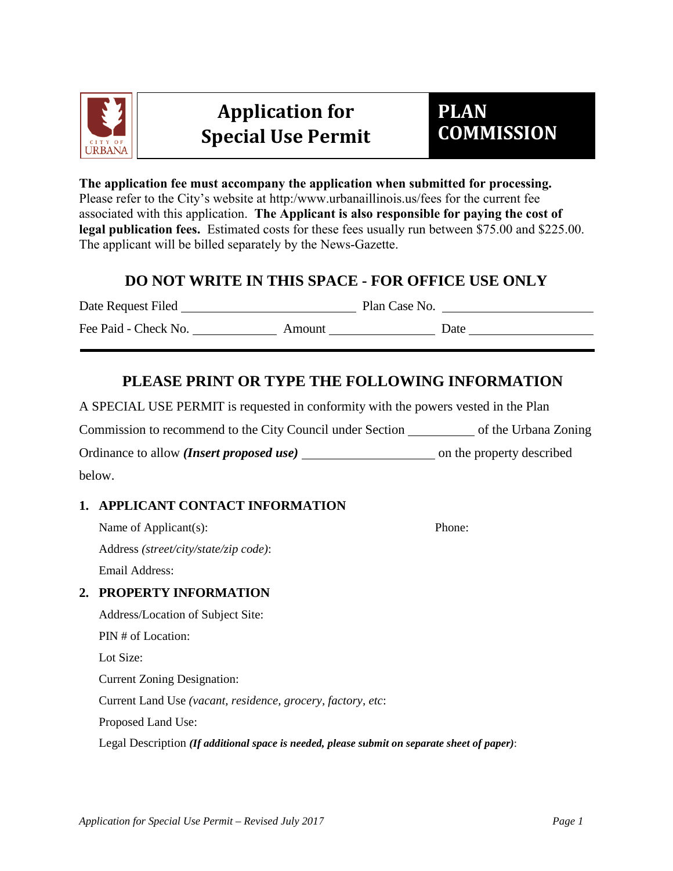

# **Application for Special Use Permit**

# **PLAN COMMISSION**

**The application fee must accompany the application when submitted for processing.**  Please refer to the City's website at http:/www.urbanaillinois.us/fees for the current fee associated with this application. **The Applicant is also responsible for paying the cost of legal publication fees.** Estimated costs for these fees usually run between \$75.00 and \$225.00. The applicant will be billed separately by the News-Gazette.

## **DO NOT WRITE IN THIS SPACE - FOR OFFICE USE ONLY**

Date Request Filed Plan Case No. Fee Paid - Check No. Amount Amount Date

## **PLEASE PRINT OR TYPE THE FOLLOWING INFORMATION**

A SPECIAL USE PERMIT is requested in conformity with the powers vested in the Plan

Commission to recommend to the City Council under Section of the Urbana Zoning

Ordinance to allow *(Insert proposed use)* on the property described

below.

## **1. APPLICANT CONTACT INFORMATION**

Name of Applicant(s): Phone:

Address *(street/city/state/zip code)*: Email Address:

## **2. PROPERTY INFORMATION**

Address/Location of Subject Site:

PIN # of Location:

Lot Size:

Current Zoning Designation:

Current Land Use *(vacant, residence, grocery, factory, etc*:

Proposed Land Use:

Legal Description *(If additional space is needed, please submit on separate sheet of paper)*: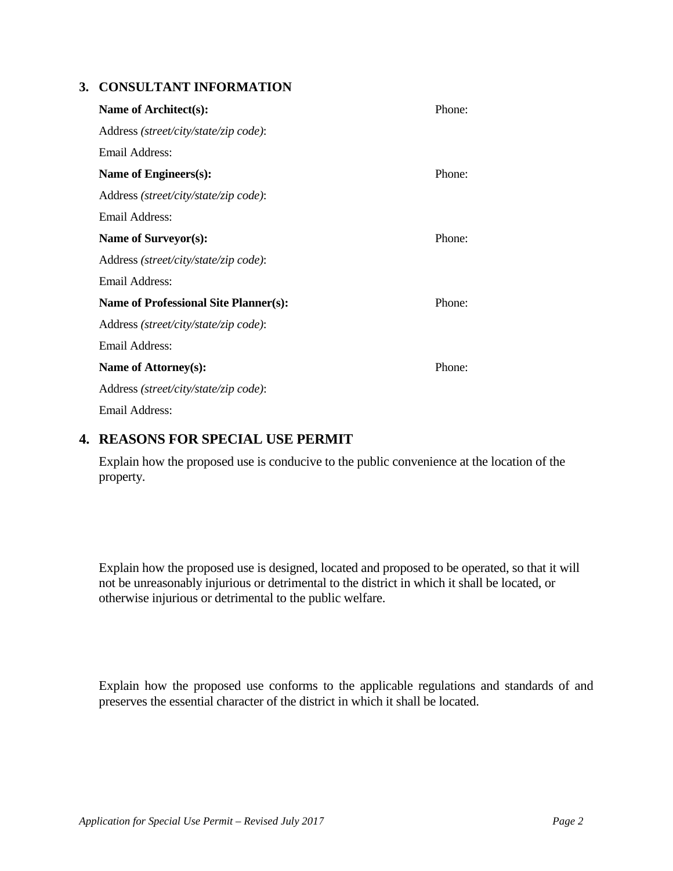#### **3. CONSULTANT INFORMATION**

| Name of Architect(s):                        | Phone: |
|----------------------------------------------|--------|
| Address (street/city/state/zip code):        |        |
| Email Address:                               |        |
| Name of Engineers(s):                        | Phone: |
| Address (street/city/state/zip code):        |        |
| Email Address:                               |        |
| Name of Surveyor(s):                         | Phone: |
| Address (street/city/state/zip code):        |        |
| Email Address:                               |        |
| <b>Name of Professional Site Planner(s):</b> | Phone: |
| Address (street/city/state/zip code):        |        |
| Email Address:                               |        |
| Name of Attorney(s):                         | Phone: |
| Address (street/city/state/zip code):        |        |
| Email Address:                               |        |

### **4. REASONS FOR SPECIAL USE PERMIT**

Explain how the proposed use is conducive to the public convenience at the location of the property.

Explain how the proposed use is designed, located and proposed to be operated, so that it will not be unreasonably injurious or detrimental to the district in which it shall be located, or otherwise injurious or detrimental to the public welfare.

Explain how the proposed use conforms to the applicable regulations and standards of and preserves the essential character of the district in which it shall be located.